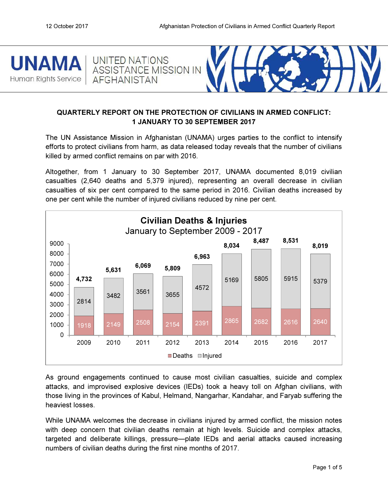UNITED NATIONS

**AFGHANISTAN** 





# QUARTERLY REPORT ON THE PROTECTION OF CIVILIANS IN ARMED CONFLICT: 1 JANUARY TO 30 SEPTEMBER 2017

The UN Assistance Mission in Afghanistan (UNAMA) urges parties to the conflict to intensify efforts to protect civilians from harm, as data released today reveals that the number of civilians killed by armed conflict remains on par with 2016.

Altogether, from 1 January to 30 September 2017, UNAMA documented 8,019 civilian casualties (2,640 deaths and 5,379 injured), representing an overall decrease in civilian casualties of six per cent compared to the same period in 2016. Civilian deaths increased by one per cent while the number of injured civilians reduced by nine per cent.



As ground engagements continued to cause most civilian casualties, suicide and complex attacks, and improvised explosive devices (IEDs) took a heavy toll on Afghan civilians, with those living in the provinces of Kabul, Helmand, Nangarhar, Kandahar, and Faryab suffering the heaviest losses.

While UNAMA welcomes the decrease in civilians injured by armed conflict, the mission notes with deep concern that civilian deaths remain at high levels. Suicide and complex attacks, targeted and deliberate killings, pressure—plate IEDs and aerial attacks caused increasing numbers of civilian deaths during the first nine months of 2017.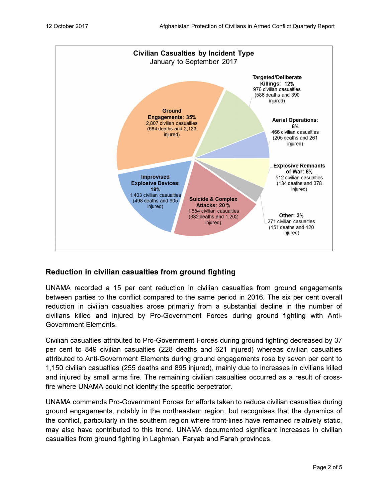

## Reduction in civilian casualties from ground fighting

UNAMA recorded a 15 per cent reduction in civilian casualties from ground engagements between parties to the conflict compared to the same period in 2016. The six per cent overall reduction in civilian casualties arose primarily from a substantial decline in the number of civilians killed and injured by Pro-Government Forces during ground fighting with Anti-Government Elements.

Civilian casualties attributed to Pro-Government Forces during ground fighting decreased by 37 per cent to 849 civilian casualties (228 deaths and 621 injured) whereas civilian casualties attributed to Anti-Government Elements during ground engagements rose by seven per cent to 1,150 civilian casualties (255 deaths and 895 injured), mainly due to increases in civilians killed and injured by small arms fire. The remaining civilian casualties occurred as a result of crossfire where UNAMA could not identify the specific perpetrator.

UNAMA commends Pro-Government Forces for efforts taken to reduce civilian casualties during ground engagements, notably in the northeastern region, but recognises that the dynamics of the conflict, particularly in the southern region where front-lines have remained relatively static, may also have contributed to this trend. UNAMA documented significant increases in civilian casualties from ground fighting in Laghman, Faryab and Farah provinces.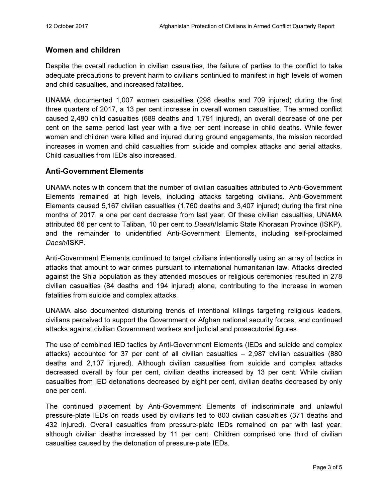## Women and children

Despite the overall reduction in civilian casualties, the failure of parties to the conflict to take adequate precautions to prevent harm to civilians continued to manifest in high levels of women and child casualties, and increased fatalities.

UNAMA documented 1,007 women casualties (298 deaths and 709 injured) during the first three quarters of 2017, a 13 per cent increase in overall women casualties. The armed conflict caused 2,480 child casualties (689 deaths and 1,791 injured), an overall decrease of one per cent on the same period last year with a five per cent increase in child deaths. While fewer women and children were killed and injured during ground engagements, the mission recorded increases in women and child casualties from suicide and complex attacks and aerial attacks. Child casualties from IEDs also increased.

## Anti-Government Elements

UNAMA notes with concern that the number of civilian casualties attributed to Anti-Government Elements remained at high levels, including attacks targeting civilians. Anti-Government Elements caused 5,167 civilian casualties (1,760 deaths and 3,407 injured) during the first nine months of 2017, a one per cent decrease from last year. Of these civilian casualties, UNAMA attributed 66 per cent to Taliban, 10 per cent to Daesh/Islamic State Khorasan Province (ISKP), and the remainder to unidentified Anti-Government Elements, including self-proclaimed Daesh/ISKP.

Anti-Government Elements continued to target civilians intentionally using an array of tactics in attacks that amount to war crimes pursuant to international humanitarian law. Attacks directed against the Shia population as they attended mosques or religious ceremonies resulted in 278 civilian casualties (84 deaths and 194 injured) alone, contributing to the increase in women fatalities from suicide and complex attacks.

UNAMA also documented disturbing trends of intentional killings targeting religious leaders, civilians perceived to support the Government or Afghan national security forces, and continued attacks against civilian Government workers and judicial and prosecutorial figures.

The use of combined IED tactics by Anti-Government Elements (IEDs and suicide and complex attacks) accounted for 37 per cent of all civilian casualties – 2,987 civilian casualties (880 deaths and 2,107 injured). Although civilian casualties from suicide and complex attacks decreased overall by four per cent, civilian deaths increased by 13 per cent. While civilian casualties from IED detonations decreased by eight per cent, civilian deaths decreased by only one per cent.

The continued placement by Anti-Government Elements of indiscriminate and unlawful pressure-plate IEDs on roads used by civilians led to 803 civilian casualties (371 deaths and 432 injured). Overall casualties from pressure-plate IEDs remained on par with last year, although civilian deaths increased by 11 per cent. Children comprised one third of civilian casualties caused by the detonation of pressure-plate IEDs.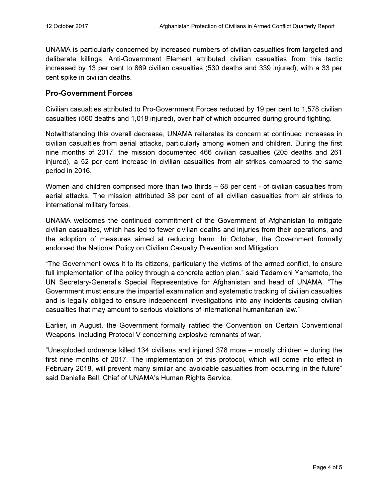UNAMA is particularly concerned by increased numbers of civilian casualties from targeted and deliberate killings. Anti-Government Element attributed civilian casualties from this tactic increased by 13 per cent to 869 civilian casualties (530 deaths and 339 injured), with a 33 per cent spike in civilian deaths.

## Pro-Government Forces

Civilian casualties attributed to Pro-Government Forces reduced by 19 per cent to 1,578 civilian casualties (560 deaths and 1,018 injured), over half of which occurred during ground fighting.

Notwithstanding this overall decrease, UNAMA reiterates its concern at continued increases in civilian casualties from aerial attacks, particularly among women and children. During the first nine months of 2017, the mission documented 466 civilian casualties (205 deaths and 261 injured), a 52 per cent increase in civilian casualties from air strikes compared to the same period in 2016.

Women and children comprised more than two thirds – 68 per cent - of civilian casualties from aerial attacks. The mission attributed 38 per cent of all civilian casualties from air strikes to international military forces.

UNAMA welcomes the continued commitment of the Government of Afghanistan to mitigate civilian casualties, which has led to fewer civilian deaths and injuries from their operations, and the adoption of measures aimed at reducing harm. In October, the Government formally endorsed the National Policy on Civilian Casualty Prevention and Mitigation.

"The Government owes it to its citizens, particularly the victims of the armed conflict, to ensure full implementation of the policy through a concrete action plan." said Tadamichi Yamamoto, the UN Secretary-General's Special Representative for Afghanistan and head of UNAMA. "The Government must ensure the impartial examination and systematic tracking of civilian casualties and is legally obliged to ensure independent investigations into any incidents causing civilian casualties that may amount to serious violations of international humanitarian law."

Earlier, in August, the Government formally ratified the Convention on Certain Conventional Weapons, including Protocol V concerning explosive remnants of war.

"Unexploded ordnance killed 134 civilians and injured 378 more – mostly children – during the first nine months of 2017. The implementation of this protocol, which will come into effect in February 2018, will prevent many similar and avoidable casualties from occurring in the future" said Danielle Bell, Chief of UNAMA's Human Rights Service.